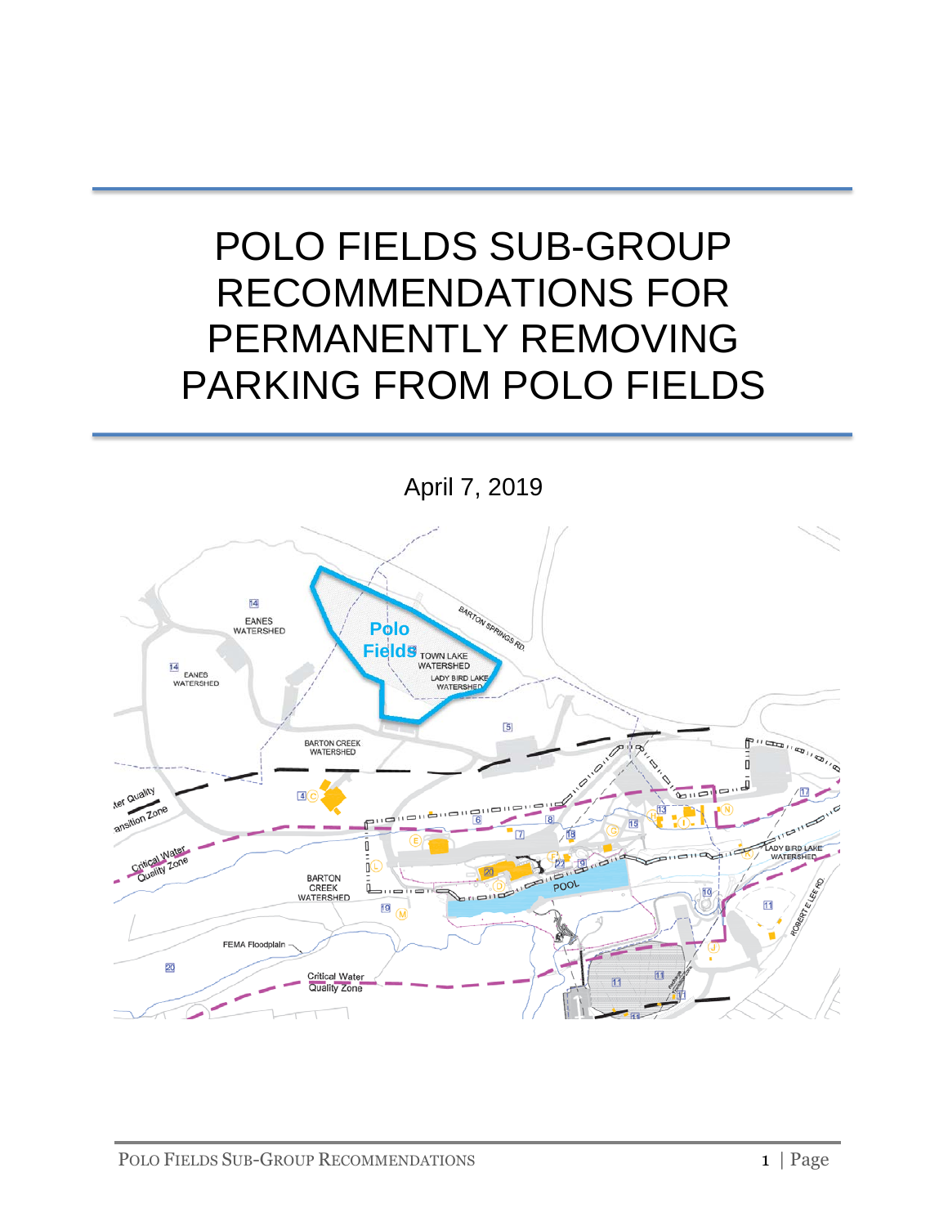# POLO FIELDS SUB-GROUP RECOMMENDATIONS FOR PERMANENTLY REMOVING PARKING FROM POLO FIELDS

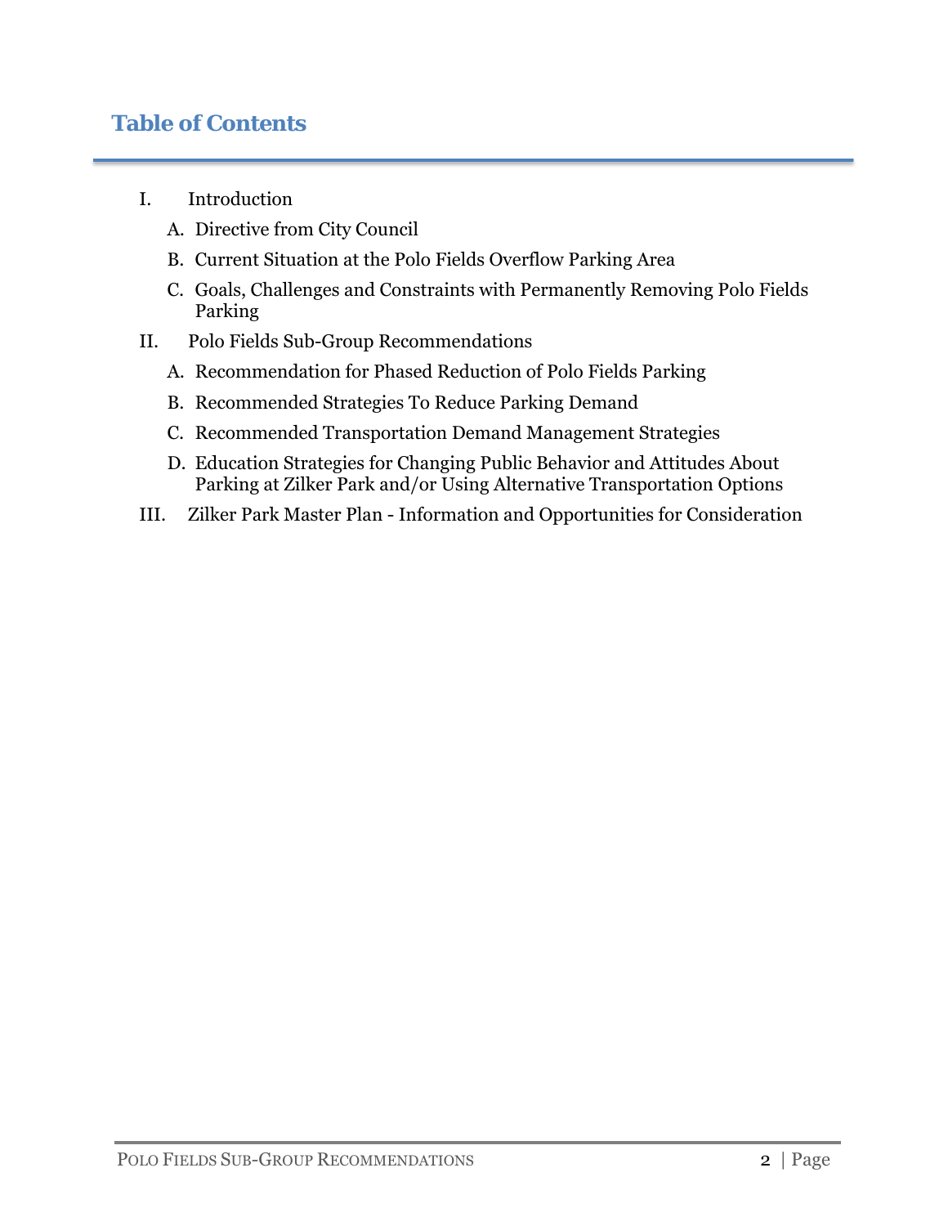# **Table of Contents**

- I. Introduction
	- A. Directive from City Council
	- B. Current Situation at the Polo Fields Overflow Parking Area
	- C. Goals, Challenges and Constraints with Permanently Removing Polo Fields Parking
- II. Polo Fields Sub-Group Recommendations
	- A. Recommendation for Phased Reduction of Polo Fields Parking
	- B. Recommended Strategies To Reduce Parking Demand
	- C. Recommended Transportation Demand Management Strategies
	- D. Education Strategies for Changing Public Behavior and Attitudes About Parking at Zilker Park and/or Using Alternative Transportation Options
- III. Zilker Park Master Plan Information and Opportunities for Consideration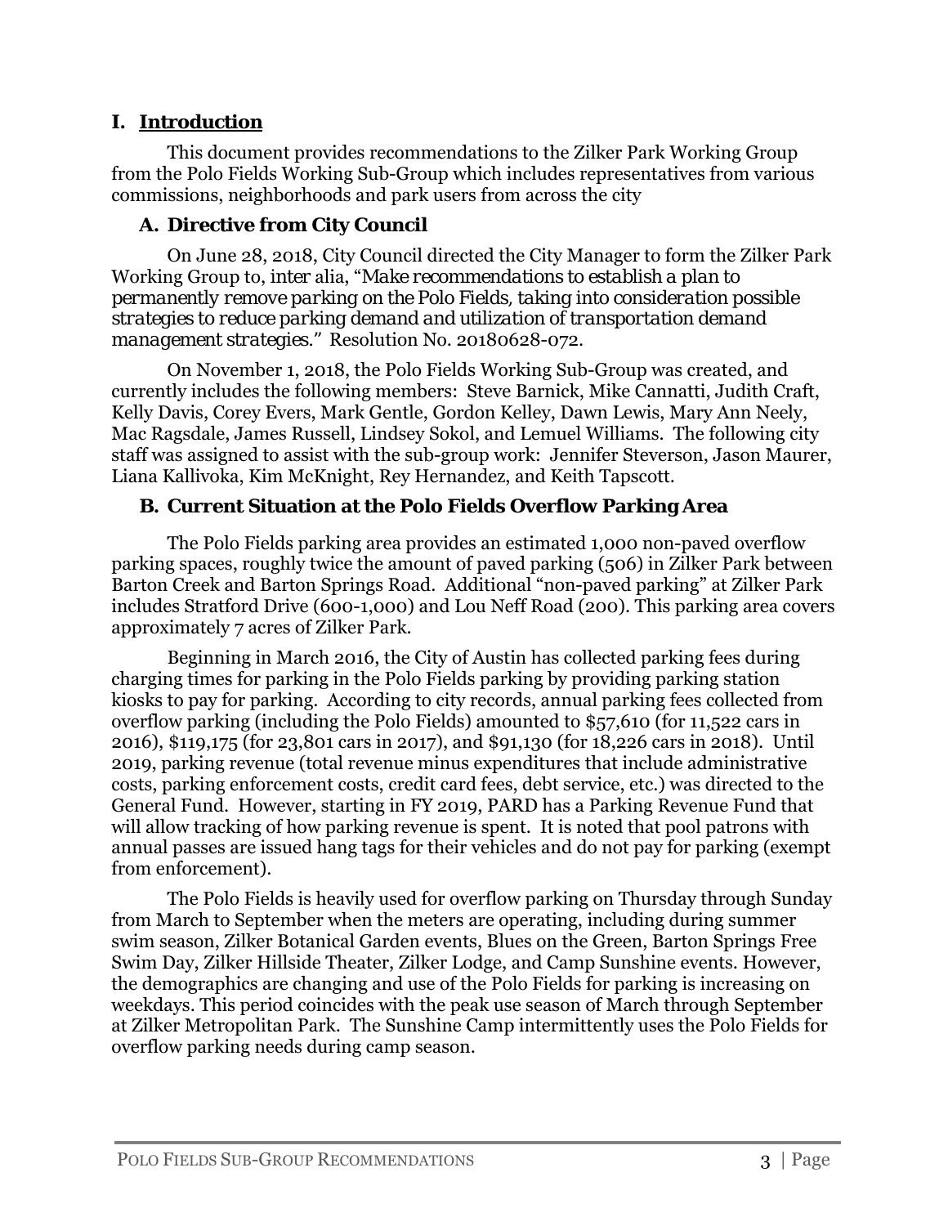#### **I. Introduction**

This document provides recommendations to the Zilker Park Working Group from the Polo Fields Working Sub-Group which includes representatives from various commissions, neighborhoods and park users from across the city

#### **A. Directive from City Council**

On June 28, 2018, City Council directed the City Manager to form the Zilker Park Working Group to, *inter* alia, "*Make recommendations to establish a plan to permanently remove parking on the Polo Fields, taking into consideration possible strategies to reduce parking demand and utilization of transportation demand management strategies."* Resolution No. 20180628-072.

 On November 1, 2018, the Polo Fields Working Sub-Group was created, and currently includes the following members: Steve Barnick, Mike Cannatti, Judith Craft, Kelly Davis, Corey Evers, Mark Gentle, Gordon Kelley, Dawn Lewis, Mary Ann Neely, Mac Ragsdale, James Russell, Lindsey Sokol, and Lemuel Williams. The following city staff was assigned to assist with the sub-group work: Jennifer Steverson, Jason Maurer, Liana Kallivoka, Kim McKnight, Rey Hernandez, and Keith Tapscott.

# **B. Current Situation at the Polo Fields Overflow Parking Area**

The Polo Fields parking area provides an estimated 1,000 non-paved overflow parking spaces, roughly twice the amount of paved parking (506) in Zilker Park between Barton Creek and Barton Springs Road. Additional "non-paved parking" at Zilker Park includes Stratford Drive (600-1,000) and Lou Neff Road (200). This parking area covers approximately 7 acres of Zilker Park.

Beginning in March 2016, the City of Austin has collected parking fees during charging times for parking in the Polo Fields parking by providing parking station kiosks to pay for parking. According to city records, annual parking fees collected from overflow parking (including the Polo Fields) amounted to \$57,610 (for 11,522 cars in 2016), \$119,175 (for 23,801 cars in 2017), and \$91,130 (for 18,226 cars in 2018). Until 2019, parking revenue (total revenue minus expenditures that include administrative costs, parking enforcement costs, credit card fees, debt service, etc.) was directed to the General Fund. However, starting in FY 2019, PARD has a Parking Revenue Fund that will allow tracking of how parking revenue is spent. It is noted that pool patrons with annual passes are issued hang tags for their vehicles and do not pay for parking (exempt from enforcement).

The Polo Fields is heavily used for overflow parking on Thursday through Sunday from March to September when the meters are operating, including during summer swim season, Zilker Botanical Garden events, Blues on the Green, Barton Springs Free Swim Day, Zilker Hillside Theater, Zilker Lodge, and Camp Sunshine events. However, the demographics are changing and use of the Polo Fields for parking is increasing on weekdays. This period coincides with the peak use season of March through September at Zilker Metropolitan Park. The Sunshine Camp intermittently uses the Polo Fields for overflow parking needs during camp season.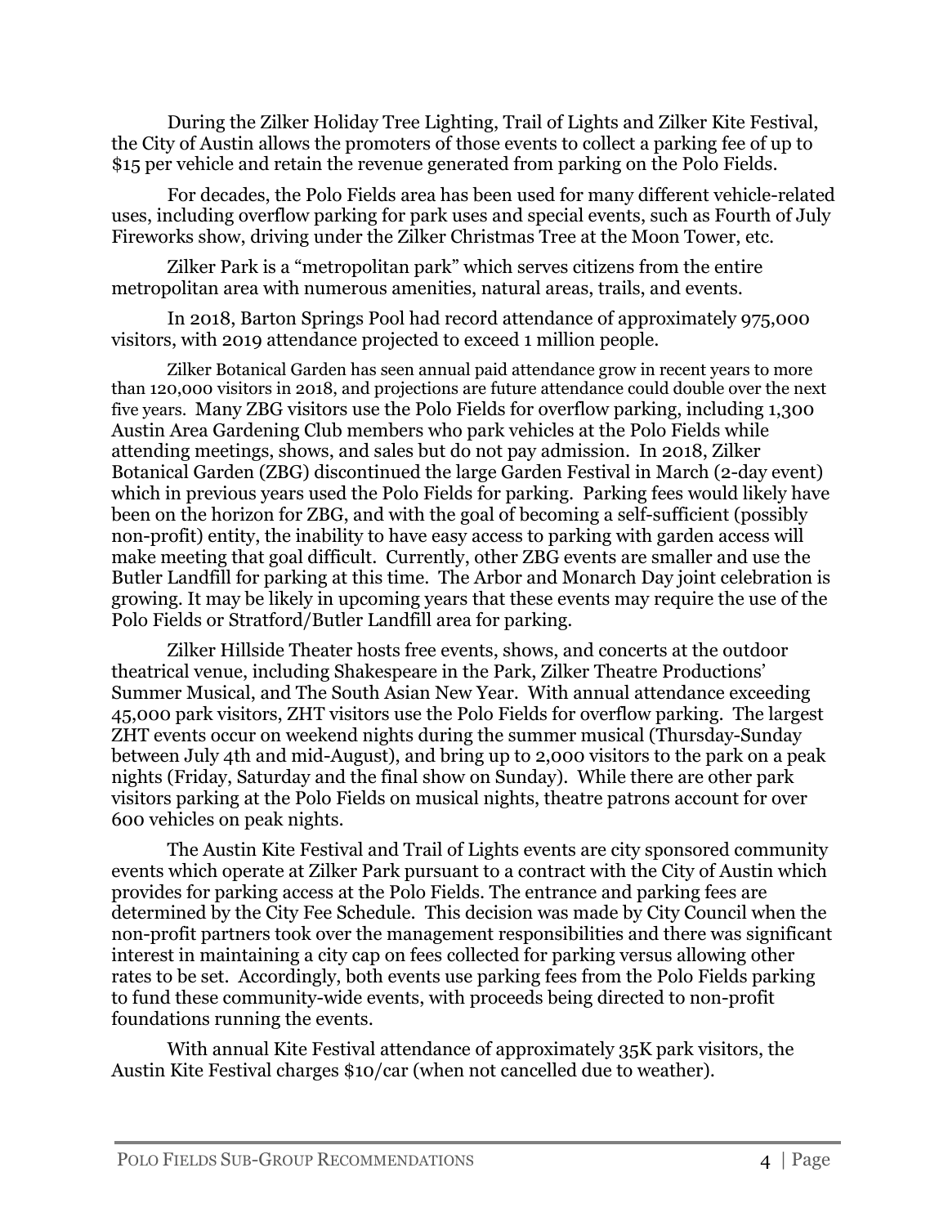During the Zilker Holiday Tree Lighting, Trail of Lights and Zilker Kite Festival, the City of Austin allows the promoters of those events to collect a parking fee of up to \$15 per vehicle and retain the revenue generated from parking on the Polo Fields.

For decades, the Polo Fields area has been used for many different vehicle-related uses, including overflow parking for park uses and special events, such as Fourth of July Fireworks show, driving under the Zilker Christmas Tree at the Moon Tower, etc.

Zilker Park is a "metropolitan park" which serves citizens from the entire metropolitan area with numerous amenities, natural areas, trails, and events.

In 2018, Barton Springs Pool had record attendance of approximately 975,000 visitors, with 2019 attendance projected to exceed 1 million people.

Zilker Botanical Garden has seen annual paid attendance grow in recent years to more than 120,000 visitors in 2018, and projections are future attendance could double over the next five years. Many ZBG visitors use the Polo Fields for overflow parking, including 1,300 Austin Area Gardening Club members who park vehicles at the Polo Fields while attending meetings, shows, and sales but do not pay admission. In 2018, Zilker Botanical Garden (ZBG) discontinued the large Garden Festival in March (2-day event) which in previous years used the Polo Fields for parking. Parking fees would likely have been on the horizon for ZBG, and with the goal of becoming a self-sufficient (possibly non-profit) entity, the inability to have easy access to parking with garden access will make meeting that goal difficult. Currently, other ZBG events are smaller and use the Butler Landfill for parking at this time. The Arbor and Monarch Day joint celebration is growing. It may be likely in upcoming years that these events may require the use of the Polo Fields or Stratford/Butler Landfill area for parking.

Zilker Hillside Theater hosts free events, shows, and concerts at the outdoor theatrical venue, including Shakespeare in the Park, Zilker Theatre Productions' Summer Musical, and The South Asian New Year. With annual attendance exceeding 45,000 park visitors, ZHT visitors use the Polo Fields for overflow parking. The largest ZHT events occur on weekend nights during the summer musical (Thursday-Sunday between July 4th and mid-August), and bring up to 2,000 visitors to the park on a peak nights (Friday, Saturday and the final show on Sunday). While there are other park visitors parking at the Polo Fields on musical nights, theatre patrons account for over 600 vehicles on peak nights.

The Austin Kite Festival and Trail of Lights events are city sponsored community events which operate at Zilker Park pursuant to a contract with the City of Austin which provides for parking access at the Polo Fields. The entrance and parking fees are determined by the City Fee Schedule. This decision was made by City Council when the non-profit partners took over the management responsibilities and there was significant interest in maintaining a city cap on fees collected for parking versus allowing other rates to be set. Accordingly, both events use parking fees from the Polo Fields parking to fund these community-wide events, with proceeds being directed to non-profit foundations running the events.

With annual Kite Festival attendance of approximately 35K park visitors, the Austin Kite Festival charges \$10/car (when not cancelled due to weather).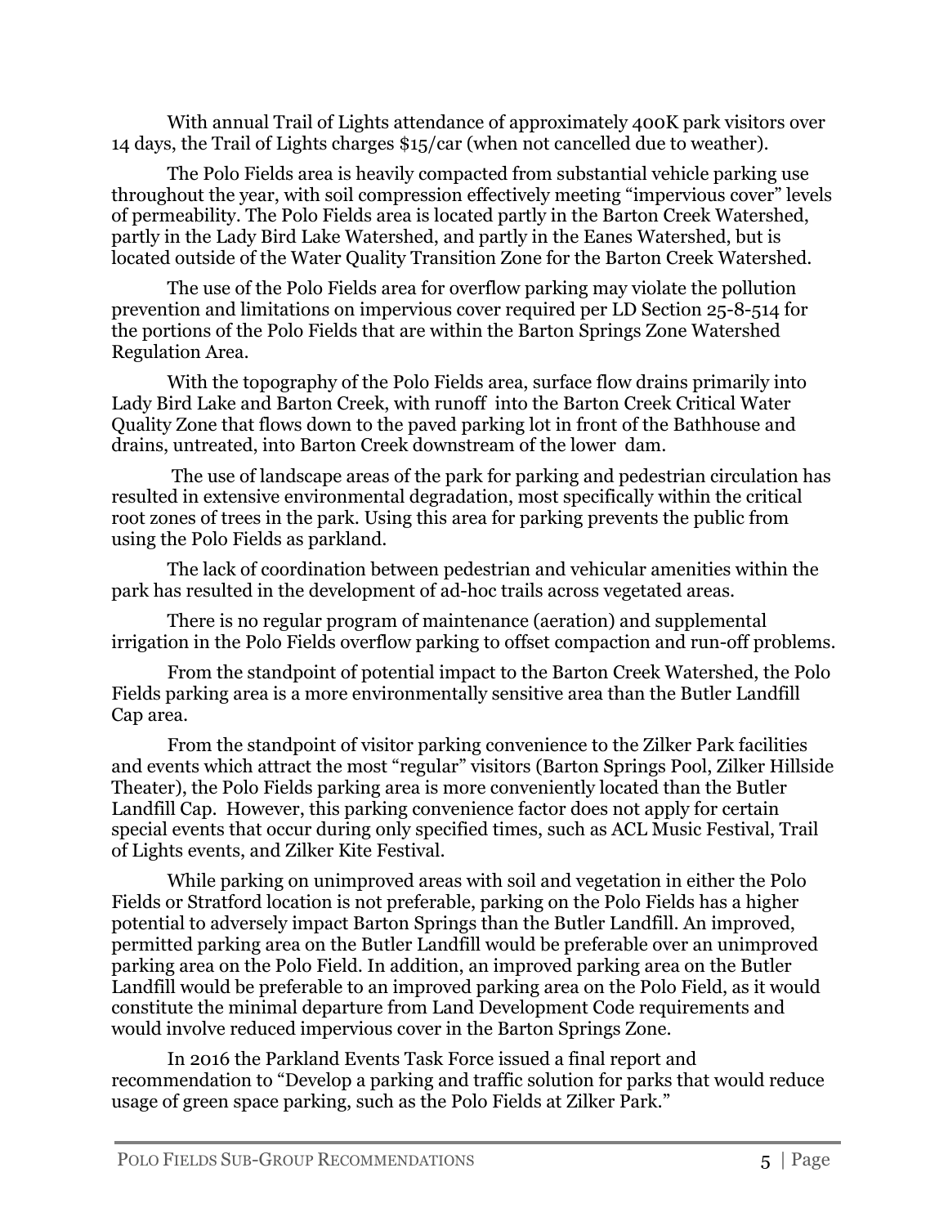With annual Trail of Lights attendance of approximately 400K park visitors over 14 days, the Trail of Lights charges \$15/car (when not cancelled due to weather).

The Polo Fields area is heavily compacted from substantial vehicle parking use throughout the year, with soil compression effectively meeting "impervious cover" levels of permeability. The Polo Fields area is located partly in the Barton Creek Watershed, partly in the Lady Bird Lake Watershed, and partly in the Eanes Watershed, but is located outside of the Water Quality Transition Zone for the Barton Creek Watershed.

The use of the Polo Fields area for overflow parking may violate the pollution prevention and limitations on impervious cover required per LD Section 25-8-514 for the portions of the Polo Fields that are within the Barton Springs Zone Watershed Regulation Area.

With the topography of the Polo Fields area, surface flow drains primarily into Lady Bird Lake and Barton Creek, with runoff into the Barton Creek Critical Water Quality Zone that flows down to the paved parking lot in front of the Bathhouse and drains, untreated, into Barton Creek downstream of the lower dam.

 The use of landscape areas of the park for parking and pedestrian circulation has resulted in extensive environmental degradation, most specifically within the critical root zones of trees in the park. Using this area for parking prevents the public from using the Polo Fields as parkland.

The lack of coordination between pedestrian and vehicular amenities within the park has resulted in the development of ad-hoc trails across vegetated areas.

There is no regular program of maintenance (aeration) and supplemental irrigation in the Polo Fields overflow parking to offset compaction and run-off problems.

From the standpoint of potential impact to the Barton Creek Watershed, the Polo Fields parking area is a more environmentally sensitive area than the Butler Landfill Cap area.

From the standpoint of visitor parking convenience to the Zilker Park facilities and events which attract the most "regular" visitors (Barton Springs Pool, Zilker Hillside Theater), the Polo Fields parking area is more conveniently located than the Butler Landfill Cap. However, this parking convenience factor does not apply for certain special events that occur during only specified times, such as ACL Music Festival, Trail of Lights events, and Zilker Kite Festival.

While parking on unimproved areas with soil and vegetation in either the Polo Fields or Stratford location is not preferable, parking on the Polo Fields has a higher potential to adversely impact Barton Springs than the Butler Landfill. An improved, permitted parking area on the Butler Landfill would be preferable over an unimproved parking area on the Polo Field. In addition, an improved parking area on the Butler Landfill would be preferable to an improved parking area on the Polo Field, as it would constitute the minimal departure from Land Development Code requirements and would involve reduced impervious cover in the Barton Springs Zone.

In 2016 the Parkland Events Task Force issued a final report and recommendation to "Develop a parking and traffic solution for parks that would reduce usage of green space parking, such as the Polo Fields at Zilker Park."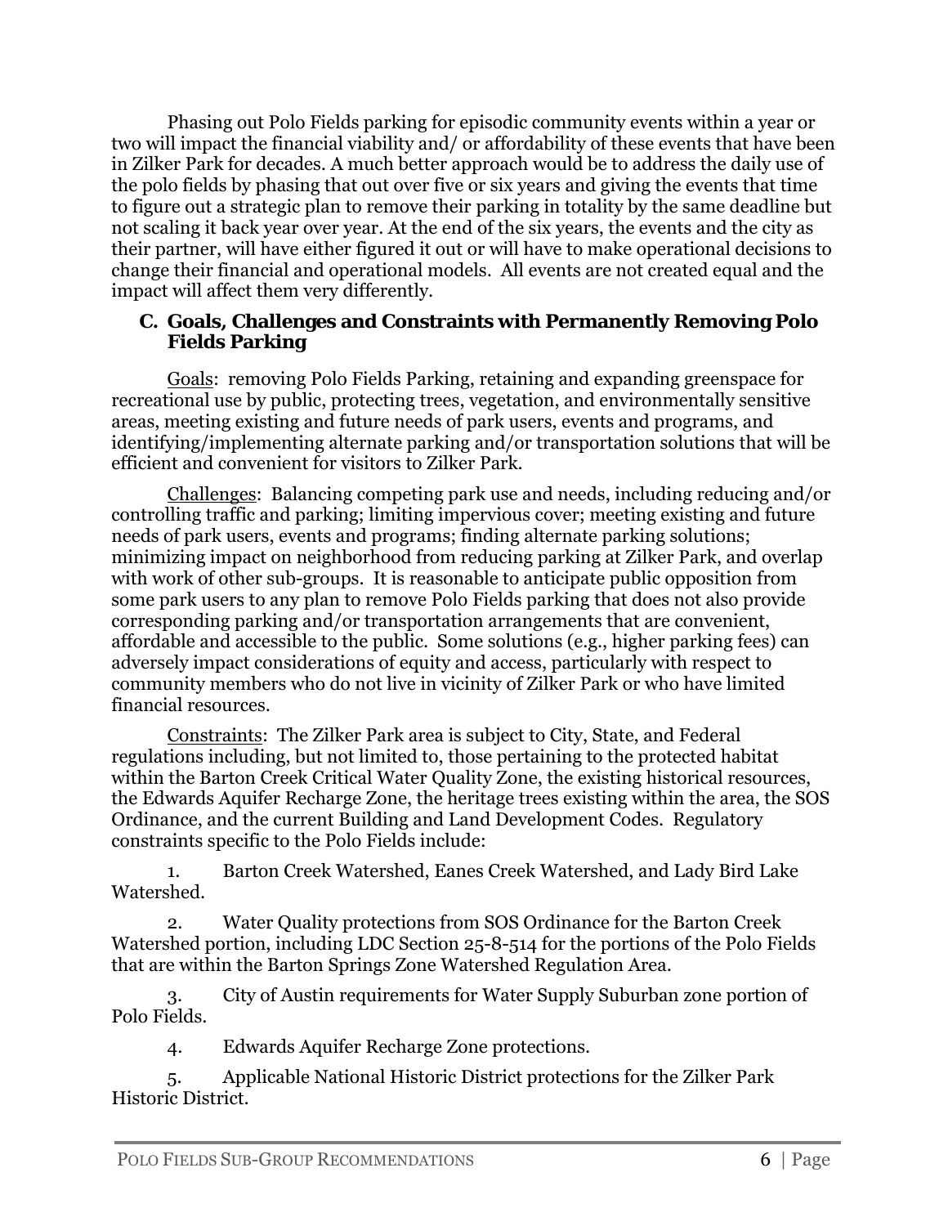Phasing out Polo Fields parking for episodic community events within a year or two will impact the financial viability and/ or affordability of these events that have been in Zilker Park for decades. A much better approach would be to address the daily use of the polo fields by phasing that out over five or six years and giving the events that time to figure out a strategic plan to remove their parking in totality by the same deadline but not scaling it back year over year. At the end of the six years, the events and the city as their partner, will have either figured it out or will have to make operational decisions to change their financial and operational models. All events are not created equal and the impact will affect them very differently.

#### **C. Goals, Challenges and Constraints with Permanently Removing Polo Fields Parking**

Goals: removing Polo Fields Parking, retaining and expanding greenspace for recreational use by public, protecting trees, vegetation, and environmentally sensitive areas, meeting existing and future needs of park users, events and programs, and identifying/implementing alternate parking and/or transportation solutions that will be efficient and convenient for visitors to Zilker Park.

Challenges: Balancing competing park use and needs, including reducing and/or controlling traffic and parking; limiting impervious cover; meeting existing and future needs of park users, events and programs; finding alternate parking solutions; minimizing impact on neighborhood from reducing parking at Zilker Park, and overlap with work of other sub-groups. It is reasonable to anticipate public opposition from some park users to any plan to remove Polo Fields parking that does not also provide corresponding parking and/or transportation arrangements that are convenient, affordable and accessible to the public. Some solutions (e.g., higher parking fees) can adversely impact considerations of equity and access, particularly with respect to community members who do not live in vicinity of Zilker Park or who have limited financial resources.

Constraints: The Zilker Park area is subject to City, State, and Federal regulations including, but not limited to, those pertaining to the protected habitat within the Barton Creek Critical Water Quality Zone, the existing historical resources, the Edwards Aquifer Recharge Zone, the heritage trees existing within the area, the SOS Ordinance, and the current Building and Land Development Codes. Regulatory constraints specific to the Polo Fields include:

1. Barton Creek Watershed, Eanes Creek Watershed, and Lady Bird Lake Watershed.

2. Water Quality protections from SOS Ordinance for the Barton Creek Watershed portion, including LDC Section 25-8-514 for the portions of the Polo Fields that are within the Barton Springs Zone Watershed Regulation Area.

3. City of Austin requirements for Water Supply Suburban zone portion of Polo Fields.

4. Edwards Aquifer Recharge Zone protections.

5. Applicable National Historic District protections for the Zilker Park Historic District.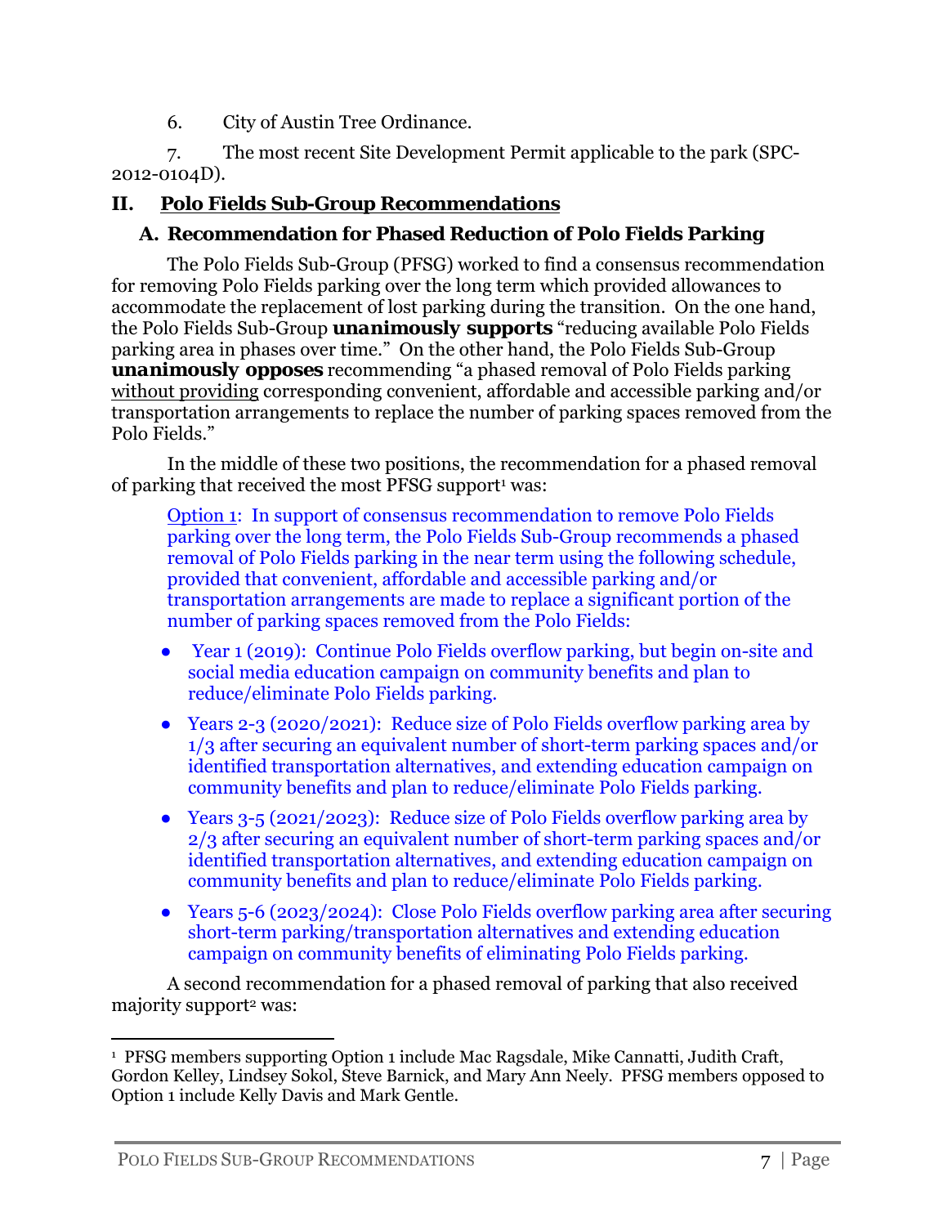6. City of Austin Tree Ordinance.

7. The most recent Site Development Permit applicable to the park (SPC-2012-0104D).

# **II. Polo Fields Sub-Group Recommendations**

### **A. Recommendation for Phased Reduction of Polo Fields Parking**

The Polo Fields Sub-Group (PFSG) worked to find a consensus recommendation for removing Polo Fields parking over the long term which provided allowances to accommodate the replacement of lost parking during the transition. On the one hand, the Polo Fields Sub-Group *unanimously supports* "reducing available Polo Fields parking area in phases over time." On the other hand, the Polo Fields Sub-Group *unanimously opposes* recommending "a phased removal of Polo Fields parking without providing corresponding convenient, affordable and accessible parking and/or transportation arrangements to replace the number of parking spaces removed from the Polo Fields."

In the middle of these two positions, the recommendation for a phased removal of parking that received the most PFSG support<sup>1</sup> was:

Option 1: In support of consensus recommendation to remove Polo Fields parking over the long term, the Polo Fields Sub-Group recommends a phased removal of Polo Fields parking in the near term using the following schedule, provided that convenient, affordable and accessible parking and/or transportation arrangements are made to replace a significant portion of the number of parking spaces removed from the Polo Fields:

- Year 1 (2019): Continue Polo Fields overflow parking, but begin on-site and social media education campaign on community benefits and plan to reduce/eliminate Polo Fields parking.
- Years 2-3 (2020/2021): Reduce size of Polo Fields overflow parking area by 1/3 after securing an equivalent number of short-term parking spaces and/or identified transportation alternatives, and extending education campaign on community benefits and plan to reduce/eliminate Polo Fields parking.
- Years 3-5 (2021/2023): Reduce size of Polo Fields overflow parking area by 2/3 after securing an equivalent number of short-term parking spaces and/or identified transportation alternatives, and extending education campaign on community benefits and plan to reduce/eliminate Polo Fields parking.
- Years 5-6 (2023/2024): Close Polo Fields overflow parking area after securing short-term parking/transportation alternatives and extending education campaign on community benefits of eliminating Polo Fields parking.

A second recommendation for a phased removal of parking that also received majority support<sup>2</sup> was:

 <sup>1</sup> PFSG members supporting Option 1 include Mac Ragsdale, Mike Cannatti, Judith Craft, Gordon Kelley, Lindsey Sokol, Steve Barnick, and Mary Ann Neely. PFSG members opposed to Option 1 include Kelly Davis and Mark Gentle.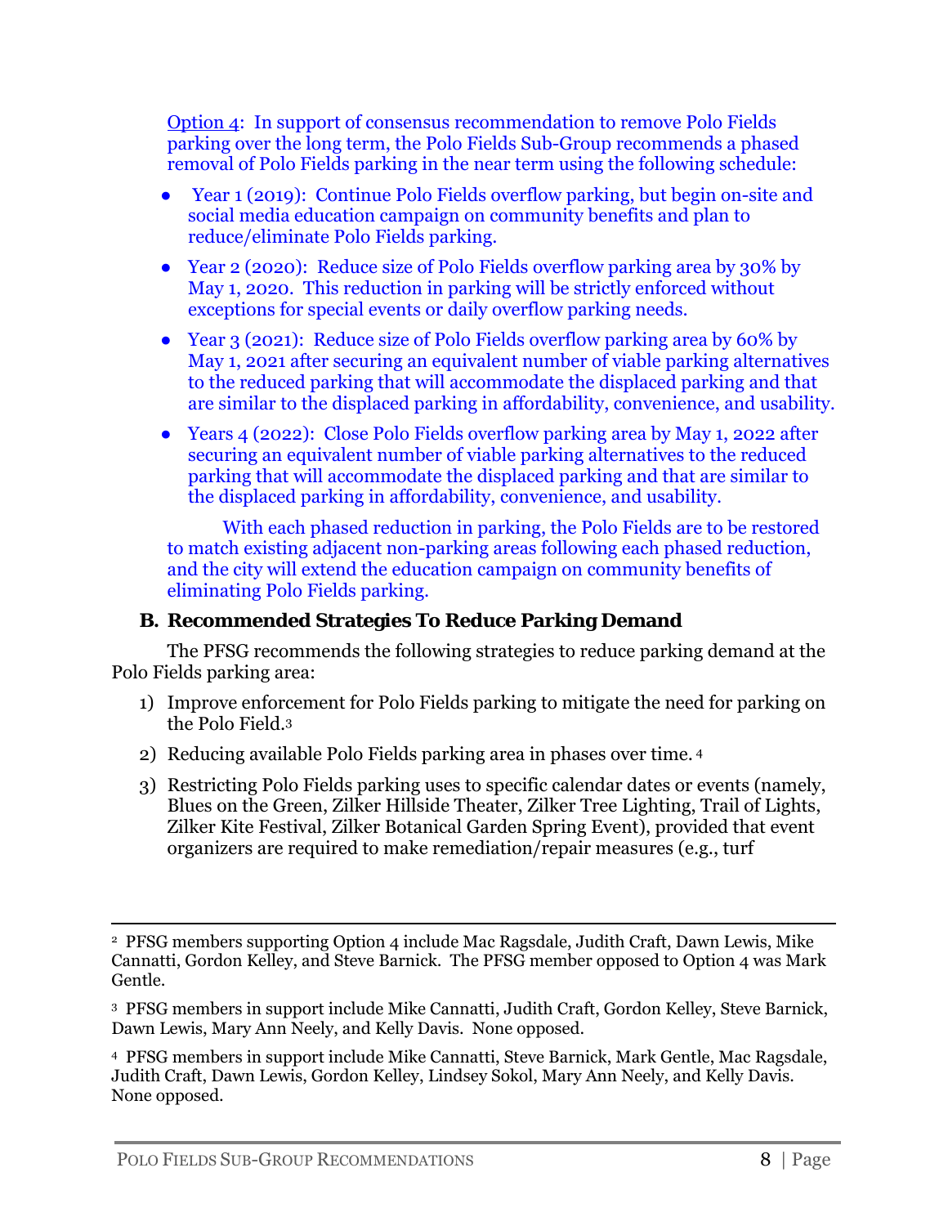Option 4: In support of consensus recommendation to remove Polo Fields parking over the long term, the Polo Fields Sub-Group recommends a phased removal of Polo Fields parking in the near term using the following schedule:

- Year 1 (2019): Continue Polo Fields overflow parking, but begin on-site and social media education campaign on community benefits and plan to reduce/eliminate Polo Fields parking.
- Year 2 (2020): Reduce size of Polo Fields overflow parking area by 30% by May 1, 2020. This reduction in parking will be strictly enforced without exceptions for special events or daily overflow parking needs.
- Year 3 (2021): Reduce size of Polo Fields overflow parking area by 60% by May 1, 2021 after securing an equivalent number of viable parking alternatives to the reduced parking that will accommodate the displaced parking and that are similar to the displaced parking in affordability, convenience, and usability.
- Years 4 (2022): Close Polo Fields overflow parking area by May 1, 2022 after securing an equivalent number of viable parking alternatives to the reduced parking that will accommodate the displaced parking and that are similar to the displaced parking in affordability, convenience, and usability.

With each phased reduction in parking, the Polo Fields are to be restored to match existing adjacent non-parking areas following each phased reduction, and the city will extend the education campaign on community benefits of eliminating Polo Fields parking.

# **B. Recommended Strategies To Reduce Parking Demand**

The PFSG recommends the following strategies to reduce parking demand at the Polo Fields parking area:

- 1) Improve enforcement for Polo Fields parking to mitigate the need for parking on the Polo Field.3
- 2) Reducing available Polo Fields parking area in phases over time. 4
- 3) Restricting Polo Fields parking uses to specific calendar dates or events (namely, Blues on the Green, Zilker Hillside Theater, Zilker Tree Lighting, Trail of Lights, Zilker Kite Festival, Zilker Botanical Garden Spring Event), provided that event organizers are required to make remediation/repair measures (e.g., turf

3 PFSG members in support include Mike Cannatti, Judith Craft, Gordon Kelley, Steve Barnick, Dawn Lewis, Mary Ann Neely, and Kelly Davis. None opposed.

4 PFSG members in support include Mike Cannatti, Steve Barnick, Mark Gentle, Mac Ragsdale, Judith Craft, Dawn Lewis, Gordon Kelley, Lindsey Sokol, Mary Ann Neely, and Kelly Davis. None opposed.

<sup>&</sup>lt;u> 1989 - Johann Stein, marwolaethau a gweledydd a ganlad y ganlad y ganlad y ganlad y ganlad y ganlad y ganlad</u> 2 PFSG members supporting Option 4 include Mac Ragsdale, Judith Craft, Dawn Lewis, Mike Cannatti, Gordon Kelley, and Steve Barnick. The PFSG member opposed to Option 4 was Mark Gentle.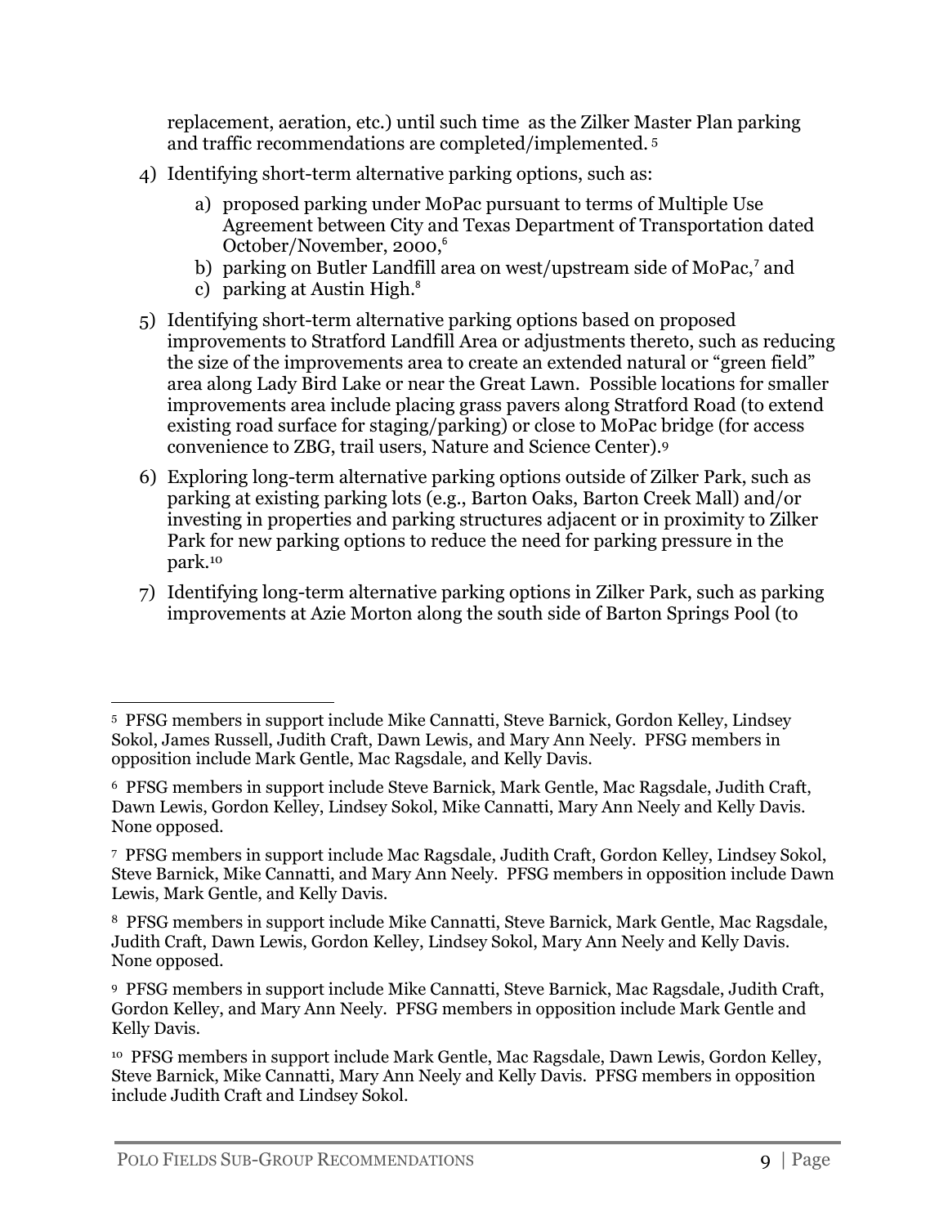replacement, aeration, etc.) until such time as the Zilker Master Plan parking and traffic recommendations are completed/implemented. 5

- 4) Identifying short-term alternative parking options, such as:
	- a) proposed parking under MoPac pursuant to terms of Multiple Use Agreement between City and Texas Department of Transportation dated October/November, 2000,<sup>6</sup>
	- b) parking on Butler Landfill area on west/upstream side of MoPac,<sup>7</sup> and
	- c) parking at Austin High.<sup>8</sup>
- 5) Identifying short-term alternative parking options based on proposed improvements to Stratford Landfill Area or adjustments thereto, such as reducing the size of the improvements area to create an extended natural or "green field" area along Lady Bird Lake or near the Great Lawn. Possible locations for smaller improvements area include placing grass pavers along Stratford Road (to extend existing road surface for staging/parking) or close to MoPac bridge (for access convenience to ZBG, trail users, Nature and Science Center).9
- 6) Exploring long-term alternative parking options outside of Zilker Park, such as parking at existing parking lots (e.g., Barton Oaks, Barton Creek Mall) and/or investing in properties and parking structures adjacent or in proximity to Zilker Park for new parking options to reduce the need for parking pressure in the park.10
- 7) Identifying long-term alternative parking options in Zilker Park, such as parking improvements at Azie Morton along the south side of Barton Springs Pool (to

 5 PFSG members in support include Mike Cannatti, Steve Barnick, Gordon Kelley, Lindsey Sokol, James Russell, Judith Craft, Dawn Lewis, and Mary Ann Neely. PFSG members in opposition include Mark Gentle, Mac Ragsdale, and Kelly Davis.

<sup>6</sup> PFSG members in support include Steve Barnick, Mark Gentle, Mac Ragsdale, Judith Craft, Dawn Lewis, Gordon Kelley, Lindsey Sokol, Mike Cannatti, Mary Ann Neely and Kelly Davis. None opposed.

<sup>7</sup> PFSG members in support include Mac Ragsdale, Judith Craft, Gordon Kelley, Lindsey Sokol, Steve Barnick, Mike Cannatti, and Mary Ann Neely. PFSG members in opposition include Dawn Lewis, Mark Gentle, and Kelly Davis.

<sup>8</sup> PFSG members in support include Mike Cannatti, Steve Barnick, Mark Gentle, Mac Ragsdale, Judith Craft, Dawn Lewis, Gordon Kelley, Lindsey Sokol, Mary Ann Neely and Kelly Davis. None opposed.

<sup>9</sup> PFSG members in support include Mike Cannatti, Steve Barnick, Mac Ragsdale, Judith Craft, Gordon Kelley, and Mary Ann Neely. PFSG members in opposition include Mark Gentle and Kelly Davis.

<sup>10</sup> PFSG members in support include Mark Gentle, Mac Ragsdale, Dawn Lewis, Gordon Kelley, Steve Barnick, Mike Cannatti, Mary Ann Neely and Kelly Davis. PFSG members in opposition include Judith Craft and Lindsey Sokol.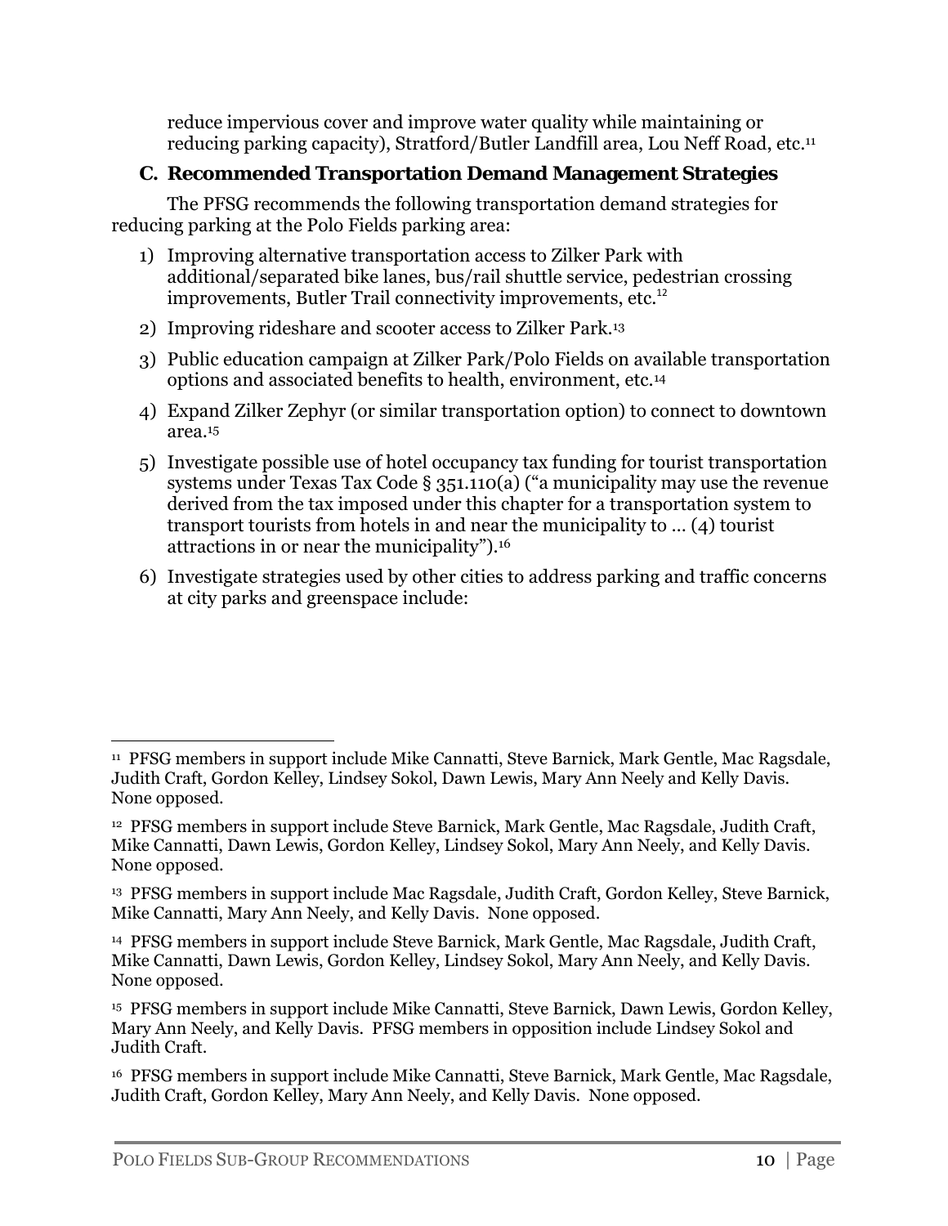reduce impervious cover and improve water quality while maintaining or reducing parking capacity), Stratford/Butler Landfill area, Lou Neff Road, etc.11

### **C. Recommended Transportation Demand Management Strategies**

The PFSG recommends the following transportation demand strategies for reducing parking at the Polo Fields parking area:

- 1) Improving alternative transportation access to Zilker Park with additional/separated bike lanes, bus/rail shuttle service, pedestrian crossing improvements, Butler Trail connectivity improvements, etc.<sup>12</sup>
- 2) Improving rideshare and scooter access to Zilker Park.13
- 3) Public education campaign at Zilker Park/Polo Fields on available transportation options and associated benefits to health, environment, etc.14
- 4) Expand Zilker Zephyr (or similar transportation option) to connect to downtown area.15
- 5) Investigate possible use of hotel occupancy tax funding for tourist transportation systems under Texas Tax Code § 351.110(a) ("a municipality may use the revenue derived from the tax imposed under this chapter for a transportation system to transport tourists from hotels in and near the municipality to … (4) tourist attractions in or near the municipality").16
- 6) Investigate strategies used by other cities to address parking and traffic concerns at city parks and greenspace include:

<sup>11</sup> PFSG members in support include Mike Cannatti, Steve Barnick, Mark Gentle, Mac Ragsdale, Judith Craft, Gordon Kelley, Lindsey Sokol, Dawn Lewis, Mary Ann Neely and Kelly Davis. None opposed.

<sup>12</sup> PFSG members in support include Steve Barnick, Mark Gentle, Mac Ragsdale, Judith Craft, Mike Cannatti, Dawn Lewis, Gordon Kelley, Lindsey Sokol, Mary Ann Neely, and Kelly Davis. None opposed.

<sup>13</sup> PFSG members in support include Mac Ragsdale, Judith Craft, Gordon Kelley, Steve Barnick, Mike Cannatti, Mary Ann Neely, and Kelly Davis. None opposed.

<sup>14</sup> PFSG members in support include Steve Barnick, Mark Gentle, Mac Ragsdale, Judith Craft, Mike Cannatti, Dawn Lewis, Gordon Kelley, Lindsey Sokol, Mary Ann Neely, and Kelly Davis. None opposed.

<sup>15</sup> PFSG members in support include Mike Cannatti, Steve Barnick, Dawn Lewis, Gordon Kelley, Mary Ann Neely, and Kelly Davis. PFSG members in opposition include Lindsey Sokol and Judith Craft.

<sup>16</sup> PFSG members in support include Mike Cannatti, Steve Barnick, Mark Gentle, Mac Ragsdale, Judith Craft, Gordon Kelley, Mary Ann Neely, and Kelly Davis. None opposed.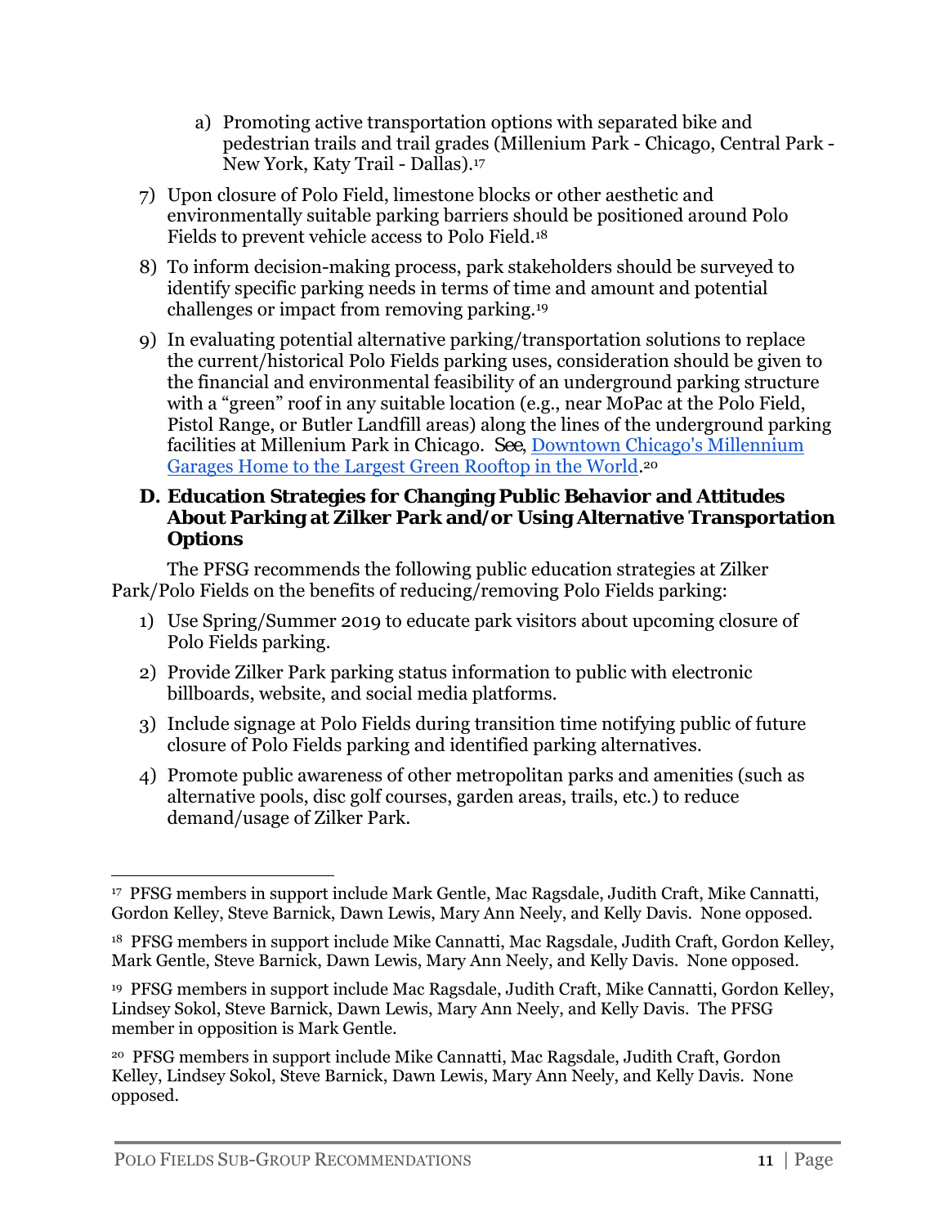- a) Promoting active transportation options with separated bike and pedestrian trails and trail grades (Millenium Park - Chicago, Central Park - New York, Katy Trail - Dallas).17
- 7) Upon closure of Polo Field, limestone blocks or other aesthetic and environmentally suitable parking barriers should be positioned around Polo Fields to prevent vehicle access to Polo Field.18
- 8) To inform decision-making process, park stakeholders should be surveyed to identify specific parking needs in terms of time and amount and potential challenges or impact from removing parking.19
- 9) In evaluating potential alternative parking/transportation solutions to replace the current/historical Polo Fields parking uses, consideration should be given to the financial and environmental feasibility of an underground parking structure with a "green" roof in any suitable location (e.g., near MoPac at the Polo Field, Pistol Range, or Butler Landfill areas) along the lines of the underground parking facilities at Millenium Park in Chicago. *See*, Downtown Chicago's Millennium Garages Home to the Largest Green Rooftop in the World.20

#### **D. Education Strategies for Changing Public Behavior and Attitudes About Parking at Zilker Park and/or Using Alternative Transportation Options**

The PFSG recommends the following public education strategies at Zilker Park/Polo Fields on the benefits of reducing/removing Polo Fields parking:

- 1) Use Spring/Summer 2019 to educate park visitors about upcoming closure of Polo Fields parking.
- 2) Provide Zilker Park parking status information to public with electronic billboards, website, and social media platforms.
- 3) Include signage at Polo Fields during transition time notifying public of future closure of Polo Fields parking and identified parking alternatives.
- 4) Promote public awareness of other metropolitan parks and amenities (such as alternative pools, disc golf courses, garden areas, trails, etc.) to reduce demand/usage of Zilker Park.

 17 PFSG members in support include Mark Gentle, Mac Ragsdale, Judith Craft, Mike Cannatti, Gordon Kelley, Steve Barnick, Dawn Lewis, Mary Ann Neely, and Kelly Davis. None opposed.

<sup>18</sup> PFSG members in support include Mike Cannatti, Mac Ragsdale, Judith Craft, Gordon Kelley, Mark Gentle, Steve Barnick, Dawn Lewis, Mary Ann Neely, and Kelly Davis. None opposed.

<sup>19</sup> PFSG members in support include Mac Ragsdale, Judith Craft, Mike Cannatti, Gordon Kelley, Lindsey Sokol, Steve Barnick, Dawn Lewis, Mary Ann Neely, and Kelly Davis. The PFSG member in opposition is Mark Gentle.

<sup>20</sup> PFSG members in support include Mike Cannatti, Mac Ragsdale, Judith Craft, Gordon Kelley, Lindsey Sokol, Steve Barnick, Dawn Lewis, Mary Ann Neely, and Kelly Davis. None opposed.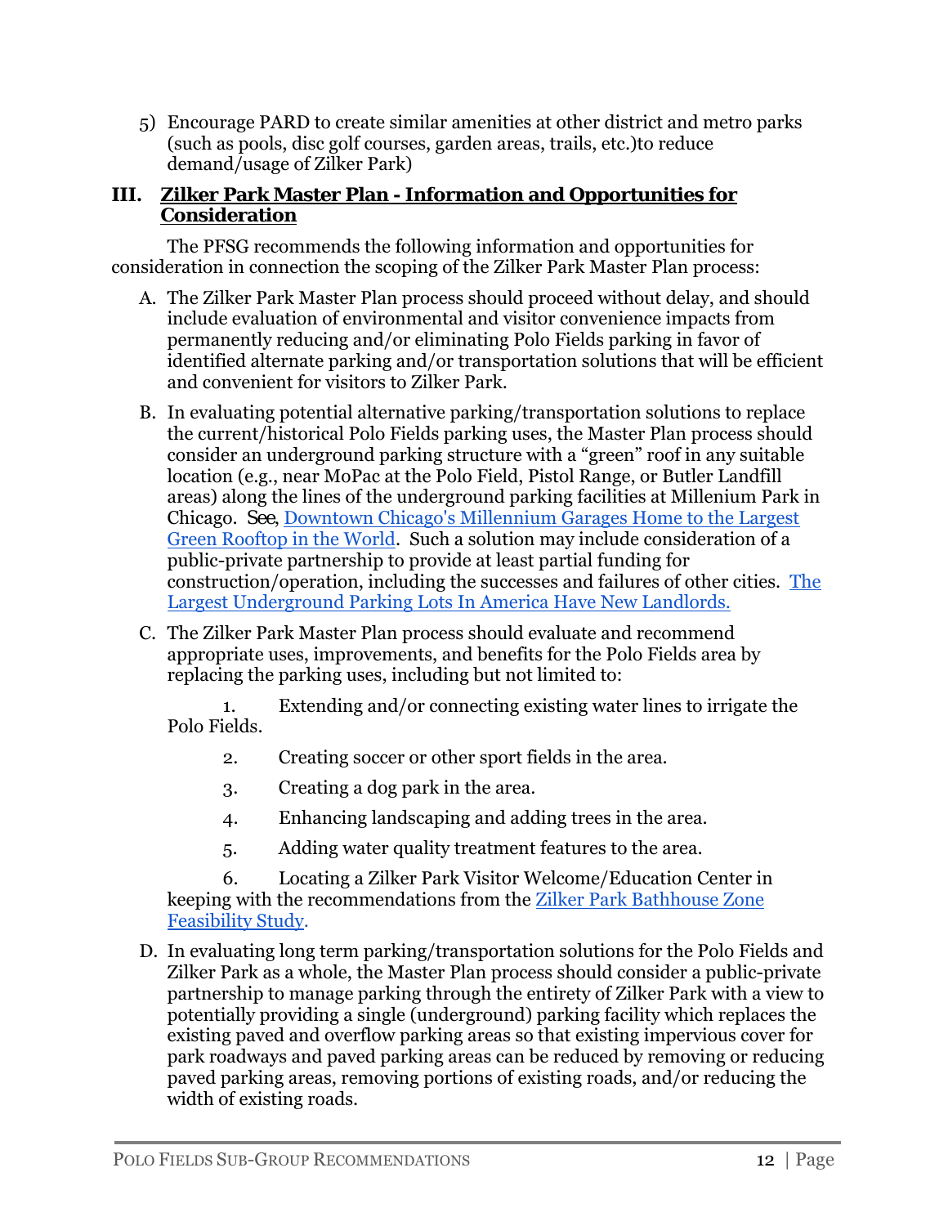5) Encourage PARD to create similar amenities at other district and metro parks (such as pools, disc golf courses, garden areas, trails, etc.)to reduce demand/usage of Zilker Park)

#### **III. Zilker Park Master Plan - Information and Opportunities for Consideration**

The PFSG recommends the following information and opportunities for consideration in connection the scoping of the Zilker Park Master Plan process:

- A. The Zilker Park Master Plan process should proceed without delay, and should include evaluation of environmental and visitor convenience impacts from permanently reducing and/or eliminating Polo Fields parking in favor of identified alternate parking and/or transportation solutions that will be efficient and convenient for visitors to Zilker Park.
- B. In evaluating potential alternative parking/transportation solutions to replace the current/historical Polo Fields parking uses, the Master Plan process should consider an underground parking structure with a "green" roof in any suitable location (e.g., near MoPac at the Polo Field, Pistol Range, or Butler Landfill areas) along the lines of the underground parking facilities at Millenium Park in Chicago. *See*, Downtown Chicago's Millennium Garages Home to the Largest Green Rooftop in the World. Such a solution may include consideration of a public-private partnership to provide at least partial funding for construction/operation, including the successes and failures of other cities. The Largest Underground Parking Lots In America Have New Landlords.
- C. The Zilker Park Master Plan process should evaluate and recommend appropriate uses, improvements, and benefits for the Polo Fields area by replacing the parking uses, including but not limited to:

1. Extending and/or connecting existing water lines to irrigate the Polo Fields.

- 2. Creating soccer or other sport fields in the area.
- 3. Creating a dog park in the area.
- 4. Enhancing landscaping and adding trees in the area.
- 5. Adding water quality treatment features to the area.

6. Locating a Zilker Park Visitor Welcome/Education Center in keeping with the recommendations from the Zilker Park Bathhouse Zone Feasibility Study.

D. In evaluating long term parking/transportation solutions for the Polo Fields and Zilker Park as a whole, the Master Plan process should consider a public-private partnership to manage parking through the entirety of Zilker Park with a view to potentially providing a single (underground) parking facility which replaces the existing paved and overflow parking areas so that existing impervious cover for park roadways and paved parking areas can be reduced by removing or reducing paved parking areas, removing portions of existing roads, and/or reducing the width of existing roads.